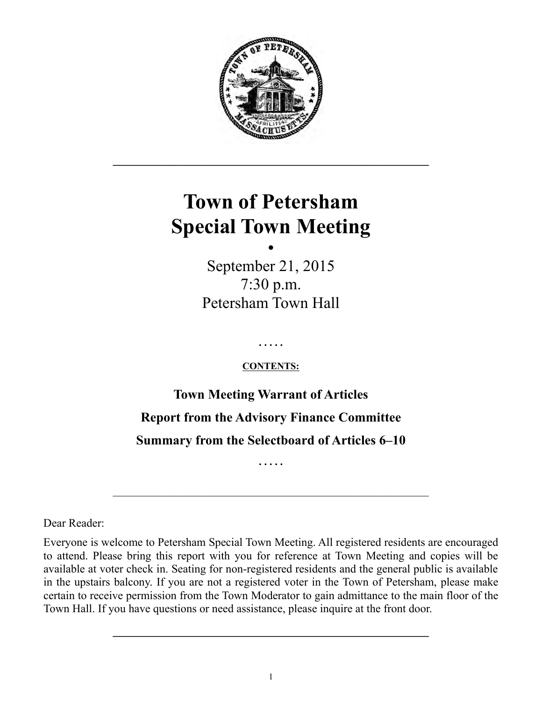

# **Town of Petersham Special Town Meeting**

**•**

**–––––––––––––––––––––––––––––––––––––––––––––––––––**

September 21, 2015 7:30 p.m. Petersham Town Hall

**CONTENTS:**

**. . . . .**

**Town Meeting Warrant of Articles Report from the Advisory Finance Committee Summary from the Selectboard of Articles 6–10**

**. . . . .**

–––––––––––––––––––––––––––––––––––––––––––––––––––

Dear Reader:

Everyone is welcome to Petersham Special Town Meeting. All registered residents are encouraged to attend. Please bring this report with you for reference at Town Meeting and copies will be available at voter check in. Seating for non-registered residents and the general public is available in the upstairs balcony. If you are not a registered voter in the Town of Petersham, please make certain to receive permission from the Town Moderator to gain admittance to the main floor of the Town Hall. If you have questions or need assistance, please inquire at the front door.

**–––––––––––––––––––––––––––––––––––––––––––––––––––**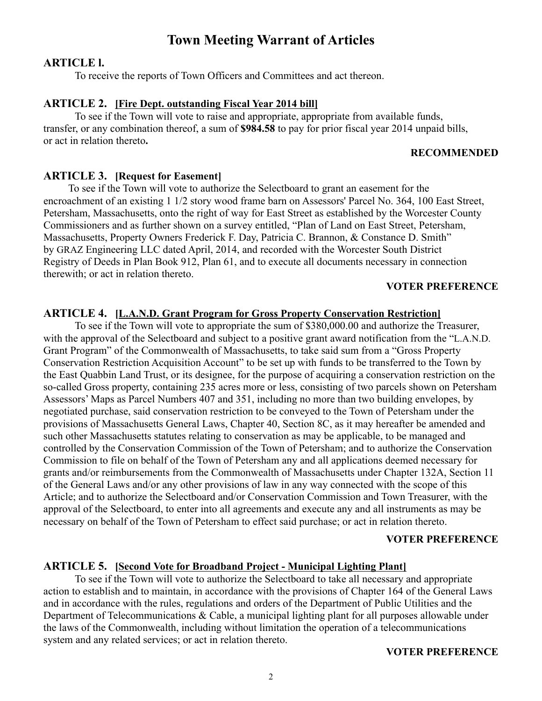## **Town Meeting Warrant of Articles**

### **ARTICLE l.**

To receive the reports of Town Officers and Committees and act thereon.

### **ARTICLE 2. [Fire Dept. outstanding Fiscal Year 2014 bill]**

To see if the Town will vote to raise and appropriate, appropriate from available funds, transfer, or any combination thereof, a sum of **\$984.58** to pay for prior fiscal year 2014 unpaid bills, or act in relation thereto**.**

#### **RECOMMENDED**

### **ARTICLE 3. [Request for Easement]**

To see if the Town will vote to authorize the Selectboard to grant an easement for the encroachment of an existing 1 1/2 story wood frame barn on Assessors' Parcel No. 364, 100 East Street, Petersham, Massachusetts, onto the right of way for East Street as established by the Worcester County Commissioners and as further shown on a survey entitled, "Plan of Land on East Street, Petersham, Massachusetts, Property Owners Frederick F. Day, Patricia C. Brannon, & Constance D. Smith" by GRAZ Engineering LLC dated April, 2014, and recorded with the Worcester South District Registry of Deeds in Plan Book 912, Plan 61, and to execute all documents necessary in connection therewith; or act in relation thereto.

#### **VOTER PREFERENCE**

#### **ARTICLE 4. [ L.A.N.D. Grant Program for Gross Property Conservation Restriction]**

To see if the Town will vote to appropriate the sum of \$380,000.00 and authorize the Treasurer, with the approval of the Selectboard and subject to a positive grant award notification from the "L.A.N.D. Grant Program" of the Commonwealth of Massachusetts, to take said sum from a "Gross Property Conservation Restriction Acquisition Account" to be set up with funds to be transferred to the Town by the East Quabbin Land Trust, or its designee, for the purpose of acquiring a conservation restriction on the so-called Gross property, containing 235 acres more or less, consisting of two parcels shown on Petersham Assessors' Maps as Parcel Numbers 407 and 351, including no more than two building envelopes, by negotiated purchase, said conservation restriction to be conveyed to the Town of Petersham under the provisions of Massachusetts General Laws, Chapter 40, Section 8C, as it may hereafter be amended and such other Massachusetts statutes relating to conservation as may be applicable, to be managed and controlled by the Conservation Commission of the Town of Petersham; and to authorize the Conservation Commission to file on behalf of the Town of Petersham any and all applications deemed necessary for grants and/or reimbursements from the Commonwealth of Massachusetts under Chapter 132A, Section 11 of the General Laws and/or any other provisions of law in any way connected with the scope of this Article; and to authorize the Selectboard and/or Conservation Commission and Town Treasurer, with the approval of the Selectboard, to enter into all agreements and execute any and all instruments as may be necessary on behalf of the Town of Petersham to effect said purchase; or act in relation thereto.

#### **VOTER PREFERENCE**

### **ARTICLE 5. [Second Vote for Broadband Project - Municipal Lighting Plant]**

To see if the Town will vote to authorize the Selectboard to take all necessary and appropriate action to establish and to maintain, in accordance with the provisions of Chapter 164 of the General Laws and in accordance with the rules, regulations and orders of the Department of Public Utilities and the Department of Telecommunications & Cable, a municipal lighting plant for all purposes allowable under the laws of the Commonwealth, including without limitation the operation of a telecommunications system and any related services; or act in relation thereto.

#### **VOTER PREFERENCE**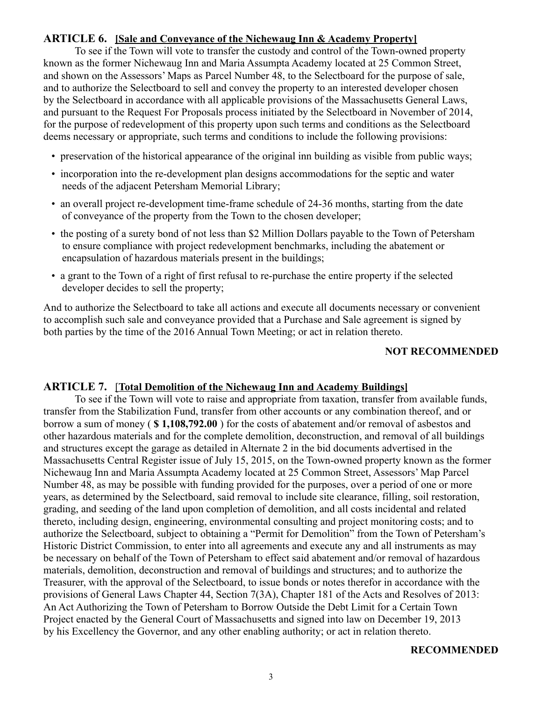### **ARTICLE 6. [Sale and Conveyance of the Nichewaug Inn & Academy Property]**

To see if the Town will vote to transfer the custody and control of the Town-owned property known as the former Nichewaug Inn and Maria Assumpta Academy located at 25 Common Street, and shown on the Assessors' Maps as Parcel Number 48, to the Selectboard for the purpose of sale, and to authorize the Selectboard to sell and convey the property to an interested developer chosen by the Selectboard in accordance with all applicable provisions of the Massachusetts General Laws, and pursuant to the Request For Proposals process initiated by the Selectboard in November of 2014, for the purpose of redevelopment of this property upon such terms and conditions as the Selectboard deems necessary or appropriate, such terms and conditions to include the following provisions:

- preservation of the historical appearance of the original inn building as visible from public ways;
- incorporation into the re-development plan designs accommodations for the septic and water needs of the adjacent Petersham Memorial Library;
- an overall project re-development time-frame schedule of 24-36 months, starting from the date of conveyance of the property from the Town to the chosen developer;
- the posting of a surety bond of not less than \$2 Million Dollars payable to the Town of Petersham to ensure compliance with project redevelopment benchmarks, including the abatement or encapsulation of hazardous materials present in the buildings;
- a grant to the Town of a right of first refusal to re-purchase the entire property if the selected developer decides to sell the property;

And to authorize the Selectboard to take all actions and execute all documents necessary or convenient to accomplish such sale and conveyance provided that a Purchase and Sale agreement is signed by both parties by the time of the 2016 Annual Town Meeting; or act in relation thereto.

### **NOT RECOMMENDED**

### **ARTICLE 7.** [ **Total Demolition of the Nichewaug Inn and Academy Buildings]**

To see if the Town will vote to raise and appropriate from taxation, transfer from available funds, transfer from the Stabilization Fund, transfer from other accounts or any combination thereof, and or borrow a sum of money ( **\$ 1,108,792.00** ) for the costs of abatement and/or removal of asbestos and other hazardous materials and for the complete demolition, deconstruction, and removal of all buildings and structures except the garage as detailed in Alternate 2 in the bid documents advertised in the Massachusetts Central Register issue of July 15, 2015, on the Town-owned property known as the former Nichewaug Inn and Maria Assumpta Academy located at 25 Common Street, Assessors' Map Parcel Number 48, as may be possible with funding provided for the purposes, over a period of one or more years, as determined by the Selectboard, said removal to include site clearance, filling, soil restoration, grading, and seeding of the land upon completion of demolition, and all costs incidental and related thereto, including design, engineering, environmental consulting and project monitoring costs; and to authorize the Selectboard, subject to obtaining a "Permit for Demolition" from the Town of Petersham's Historic District Commission, to enter into all agreements and execute any and all instruments as may be necessary on behalf of the Town of Petersham to effect said abatement and/or removal of hazardous materials, demolition, deconstruction and removal of buildings and structures; and to authorize the Treasurer, with the approval of the Selectboard, to issue bonds or notes therefor in accordance with the provisions of General Laws Chapter 44, Section 7(3A), Chapter 181 of the Acts and Resolves of 2013: An Act Authorizing the Town of Petersham to Borrow Outside the Debt Limit for a Certain Town Project enacted by the General Court of Massachusetts and signed into law on December 19, 2013 by his Excellency the Governor, and any other enabling authority; or act in relation thereto.

### **RECOMMENDED**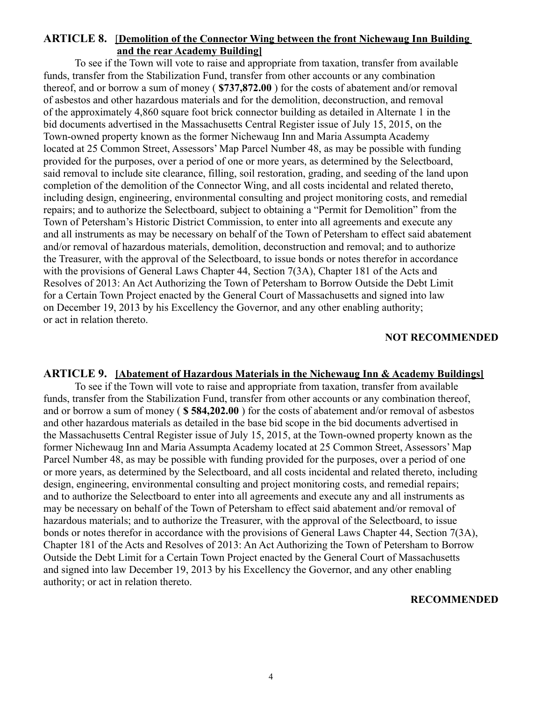### **ARTICLE 8.** [ **Demolition of the Connector Wing between the front Nichewaug Inn Building and the rear Academy Building]**

To see if the Town will vote to raise and appropriate from taxation, transfer from available funds, transfer from the Stabilization Fund, transfer from other accounts or any combination thereof, and or borrow a sum of money ( **\$737,872.00** ) for the costs of abatement and/or removal of asbestos and other hazardous materials and for the demolition, deconstruction, and removal of the approximately 4,860 square foot brick connector building as detailed in Alternate 1 in the bid documents advertised in the Massachusetts Central Register issue of July 15, 2015, on the Town-owned property known as the former Nichewaug Inn and Maria Assumpta Academy located at 25 Common Street, Assessors' Map Parcel Number 48, as may be possible with funding provided for the purposes, over a period of one or more years, as determined by the Selectboard, said removal to include site clearance, filling, soil restoration, grading, and seeding of the land upon completion of the demolition of the Connector Wing, and all costs incidental and related thereto, including design, engineering, environmental consulting and project monitoring costs, and remedial repairs; and to authorize the Selectboard, subject to obtaining a "Permit for Demolition" from the Town of Petersham's Historic District Commission, to enter into all agreements and execute any and all instruments as may be necessary on behalf of the Town of Petersham to effect said abatement and/or removal of hazardous materials, demolition, deconstruction and removal; and to authorize the Treasurer, with the approval of the Selectboard, to issue bonds or notes therefor in accordance with the provisions of General Laws Chapter 44, Section 7(3A), Chapter 181 of the Acts and Resolves of 2013: An Act Authorizing the Town of Petersham to Borrow Outside the Debt Limit for a Certain Town Project enacted by the General Court of Massachusetts and signed into law on December 19, 2013 by his Excellency the Governor, and any other enabling authority; or act in relation thereto.

### **NOT RECOMMENDED**

### **ARTICLE 9. [Abatement of Hazardous Materials in the Nichewaug Inn & Academy Buildings]**

To see if the Town will vote to raise and appropriate from taxation, transfer from available funds, transfer from the Stabilization Fund, transfer from other accounts or any combination thereof, and or borrow a sum of money ( **\$ 584,202.00** ) for the costs of abatement and/or removal of asbestos and other hazardous materials as detailed in the base bid scope in the bid documents advertised in the Massachusetts Central Register issue of July 15, 2015, at the Town-owned property known as the former Nichewaug Inn and Maria Assumpta Academy located at 25 Common Street, Assessors' Map Parcel Number 48, as may be possible with funding provided for the purposes, over a period of one or more years, as determined by the Selectboard, and all costs incidental and related thereto, including design, engineering, environmental consulting and project monitoring costs, and remedial repairs; and to authorize the Selectboard to enter into all agreements and execute any and all instruments as may be necessary on behalf of the Town of Petersham to effect said abatement and/or removal of hazardous materials; and to authorize the Treasurer, with the approval of the Selectboard, to issue bonds or notes therefor in accordance with the provisions of General Laws Chapter 44, Section 7(3A), Chapter 181 of the Acts and Resolves of 2013: An Act Authorizing the Town of Petersham to Borrow Outside the Debt Limit for a Certain Town Project enacted by the General Court of Massachusetts and signed into law December 19, 2013 by his Excellency the Governor, and any other enabling authority; or act in relation thereto.

### **RECOMMENDED**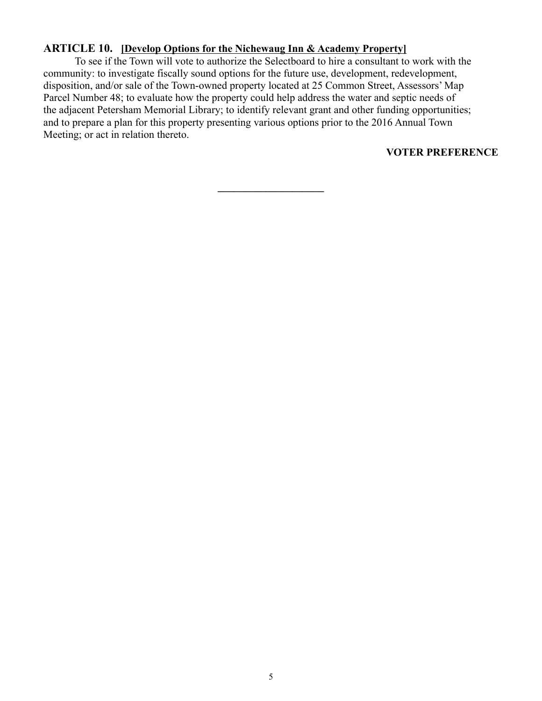### **ARTICLE 10. [Develop Options for the Nichewaug Inn & Academy Property]**

To see if the Town will vote to authorize the Selectboard to hire a consultant to work with the community: to investigate fiscally sound options for the future use, development, redevelopment, disposition, and/or sale of the Town-owned property located at 25 Common Street, Assessors' Map Parcel Number 48; to evaluate how the property could help address the water and septic needs of the adjacent Petersham Memorial Library; to identify relevant grant and other funding opportunities; and to prepare a plan for this property presenting various options prior to the 2016 Annual Town Meeting; or act in relation thereto.

### **VOTER PREFERENCE**

**\_\_\_\_\_\_\_\_\_\_\_\_\_\_\_\_\_\_\_\_**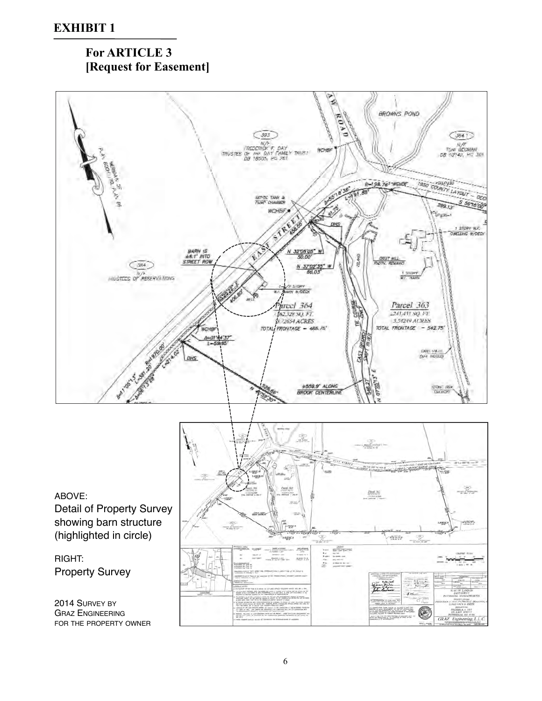# **For ARTICLE 3 [Request for Easement]**

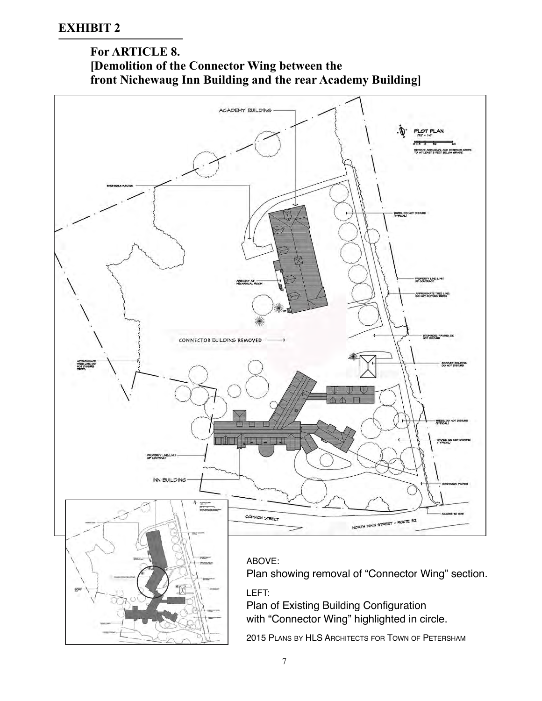## **EXHIBIT 2**

## **For ARTICLE 8. [Demolition of the Connector Wing between the front Nichewaug Inn Building and the rear Academy Building]**

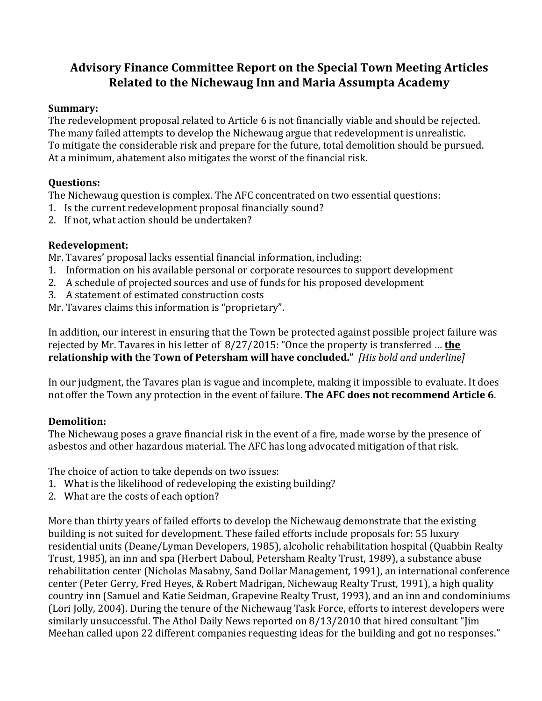## Advisory Finance Committee Report on the Special Town Meeting Articles **Related to the Nichewaug Inn and Maria Assumpta Academy**

### **Summary:**

The redevelopment proposal related to Article 6 is not financially viable and should be rejected. The many failed attempts to develop the Nichewaug argue that redevelopment is unrealistic. To mitigate the considerable risk and prepare for the future, total demolition should be pursued. At a minimum, abatement also mitigates the worst of the financial risk.

## **Questions:**

The Nichewaug question is complex. The AFC concentrated on two essential questions:

- 1. Is the current redevelopment proposal financially sound?
- 2. If not, what action should be undertaken?

## **Redevelopment:**

Mr. Tavares' proposal lacks essential financial information, including:

- 1. Information on his available personal or corporate resources to support development
- 2. A schedule of projected sources and use of funds for his proposed development
- 3. A statement of estimated construction costs

Mr. Tavares claims this information is "proprietary".

In addition, our interest in ensuring that the Town be protected against possible project failure was rejected by Mr. Tavares in his letter of  $8/27/2015$ : "Once the property is transferred  $\dots$  the **relationship with the Town of Petersham will have concluded."** [His bold and underline]

In our judgment, the Tavares plan is vague and incomplete, making it impossible to evaluate. It does not offer the Town any protection in the event of failure. **The AFC does not recommend Article 6**.

## **Demolition:**

The Nichewaug poses a grave financial risk in the event of a fire, made worse by the presence of asbestos and other hazardous material. The AFC has long advocated mitigation of that risk.

The choice of action to take depends on two issues:

- 1. What is the likelihood of redeveloping the existing building?
- 2. What are the costs of each option?

More than thirty years of failed efforts to develop the Nichewaug demonstrate that the existing building is not suited for development. These failed efforts include proposals for: 55 luxury residential units (Deane/Lyman Developers, 1985), alcoholic rehabilitation hospital (Quabbin Realty Trust, 1985), an inn and spa (Herbert Daboul, Petersham Realty Trust, 1989), a substance abuse rehabilitation center (Nicholas Masabny, Sand Dollar Management, 1991), an international conference center (Peter Gerry, Fred Heyes, & Robert Madrigan, Nichewaug Realty Trust, 1991), a high quality country inn (Samuel and Katie Seidman, Grapevine Realty Trust, 1993), and an inn and condominiums (Lori Jolly, 2004). During the tenure of the Nichewaug Task Force, efforts to interest developers were similarly unsuccessful. The Athol Daily News reported on 8/13/2010 that hired consultant "Jim Meehan called upon 22 different companies requesting ideas for the building and got no responses."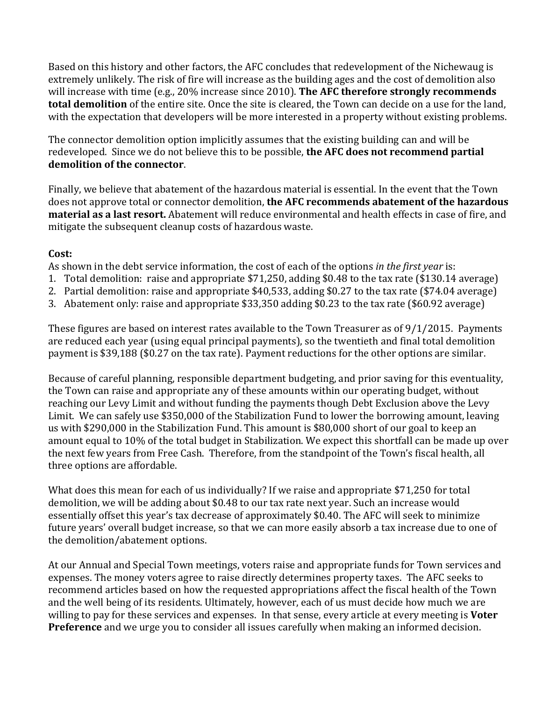Based on this history and other factors, the AFC concludes that redevelopment of the Nichewaug is extremely unlikely. The risk of fire will increase as the building ages and the cost of demolition also will increase with time (e.g., 20% increase since 2010). The AFC therefore strongly recommends **total demolition** of the entire site. Once the site is cleared, the Town can decide on a use for the land, with the expectation that developers will be more interested in a property without existing problems.

The connector demolition option implicitly assumes that the existing building can and will be redeveloped. Since we do not believe this to be possible, **the AFC does not recommend partial demolition of the connector**.

Finally, we believe that abatement of the hazardous material is essential. In the event that the Town does not approve total or connector demolition, **the AFC recommends abatement of the hazardous material as a last resort.** Abatement will reduce environmental and health effects in case of fire, and mitigate the subsequent cleanup costs of hazardous waste.

## **Cost:**

As shown in the debt service information, the cost of each of the options *in the first year* is:

- 1. Total demolition: raise and appropriate \$71,250, adding \$0.48 to the tax rate (\$130.14 average)
- 2. Partial demolition: raise and appropriate \$40,533, adding \$0.27 to the tax rate (\$74.04 average)
- 3. Abatement only: raise and appropriate  $$33,350$  adding  $$0.23$  to the tax rate (\$60.92 average)

These figures are based on interest rates available to the Town Treasurer as of  $9/1/2015$ . Payments are reduced each year (using equal principal payments), so the twentieth and final total demolition payment is \$39,188 (\$0.27 on the tax rate). Payment reductions for the other options are similar.

Because of careful planning, responsible department budgeting, and prior saving for this eventuality, the Town can raise and appropriate any of these amounts within our operating budget, without reaching our Levy Limit and without funding the payments though Debt Exclusion above the Levy Limit. We can safely use \$350,000 of the Stabilization Fund to lower the borrowing amount, leaving us with \$290,000 in the Stabilization Fund. This amount is \$80,000 short of our goal to keep an amount equal to 10% of the total budget in Stabilization. We expect this shortfall can be made up over the next few years from Free Cash. Therefore, from the standpoint of the Town's fiscal health, all three options are affordable.

What does this mean for each of us individually? If we raise and appropriate \$71,250 for total demolition, we will be adding about \$0.48 to our tax rate next year. Such an increase would essentially offset this year's tax decrease of approximately \$0.40. The AFC will seek to minimize future years' overall budget increase, so that we can more easily absorb a tax increase due to one of the demolition/abatement options.

At our Annual and Special Town meetings, voters raise and appropriate funds for Town services and expenses. The money voters agree to raise directly determines property taxes. The AFC seeks to recommend articles based on how the requested appropriations affect the fiscal health of the Town and the well being of its residents. Ultimately, however, each of us must decide how much we are willing to pay for these services and expenses. In that sense, every article at every meeting is Voter **Preference** and we urge you to consider all issues carefully when making an informed decision.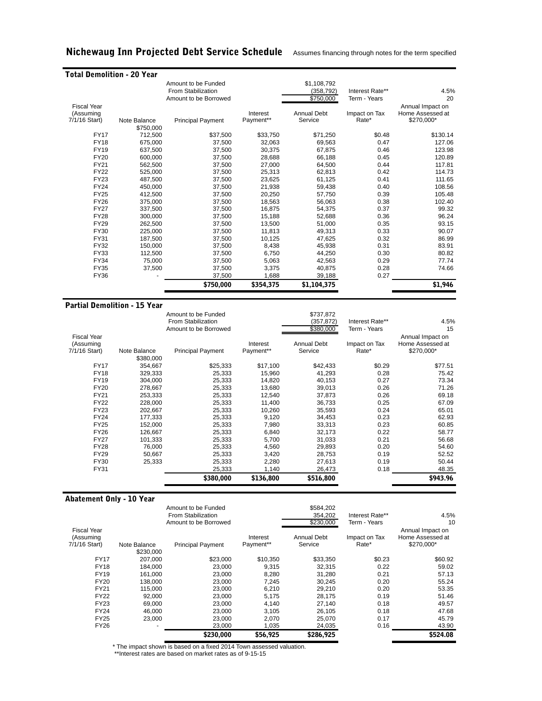| <b>Total Demolition - 20 Year</b> |              |                          |           |                    |                 |                  |
|-----------------------------------|--------------|--------------------------|-----------|--------------------|-----------------|------------------|
|                                   |              | Amount to be Funded      |           | \$1,108,792        |                 |                  |
|                                   |              | From Stabilization       |           | (358, 792)         | Interest Rate** | 4.5%             |
|                                   |              | Amount to be Borrowed    |           | \$750,000          | Term - Years    | 20               |
| <b>Fiscal Year</b>                |              |                          |           |                    |                 | Annual Impact on |
| (Assuming                         |              |                          | Interest  | <b>Annual Debt</b> | Impact on Tax   | Home Assessed at |
| 7/1/16 Start)                     | Note Balance | <b>Principal Payment</b> | Payment** | Service            | Rate*           | \$270,000*       |
|                                   | \$750,000    |                          |           |                    |                 |                  |
| <b>FY17</b>                       | 712,500      | \$37,500                 | \$33,750  | \$71,250           | \$0.48          | \$130.14         |
| <b>FY18</b>                       | 675.000      | 37.500                   | 32.063    | 69.563             | 0.47            | 127.06           |
| <b>FY19</b>                       | 637,500      | 37,500                   | 30,375    | 67,875             | 0.46            | 123.98           |
| <b>FY20</b>                       | 600.000      | 37.500                   | 28.688    | 66.188             | 0.45            | 120.89           |
| <b>FY21</b>                       | 562.500      | 37,500                   | 27,000    | 64,500             | 0.44            | 117.81           |
| <b>FY22</b>                       | 525.000      | 37,500                   | 25,313    | 62.813             | 0.42            | 114.73           |
| <b>FY23</b>                       | 487,500      | 37,500                   | 23,625    | 61,125             | 0.41            | 111.65           |
| <b>FY24</b>                       | 450,000      | 37,500                   | 21,938    | 59,438             | 0.40            | 108.56           |
| <b>FY25</b>                       | 412.500      | 37.500                   | 20.250    | 57.750             | 0.39            | 105.48           |
| <b>FY26</b>                       | 375.000      | 37.500                   | 18.563    | 56.063             | 0.38            | 102.40           |
| <b>FY27</b>                       | 337,500      | 37,500                   | 16,875    | 54,375             | 0.37            | 99.32            |
| <b>FY28</b>                       | 300,000      | 37,500                   | 15,188    | 52,688             | 0.36            | 96.24            |
| <b>FY29</b>                       | 262,500      | 37,500                   | 13,500    | 51.000             | 0.35            | 93.15            |
| <b>FY30</b>                       | 225,000      | 37,500                   | 11,813    | 49,313             | 0.33            | 90.07            |
| FY31                              | 187,500      | 37,500                   | 10,125    | 47,625             | 0.32            | 86.99            |
| <b>FY32</b>                       | 150,000      | 37,500                   | 8,438     | 45,938             | 0.31            | 83.91            |
| <b>FY33</b>                       | 112.500      | 37,500                   | 6.750     | 44.250             | 0.30            | 80.82            |
| <b>FY34</b>                       | 75,000       | 37,500                   | 5,063     | 42,563             | 0.29            | 77.74            |
| <b>FY35</b>                       | 37,500       | 37,500                   | 3,375     | 40,875             | 0.28            | 74.66            |
| <b>FY36</b>                       |              | 37,500                   | 1,688     | 39,188             | 0.27            |                  |
|                                   |              | \$750,000                | \$354,375 | \$1,104,375        |                 | \$1,946          |

#### Partial Demolition - 15 Year

|                                                  |                    | Amount to be Funded      |                       | \$737,872                     |                        |                                                    |
|--------------------------------------------------|--------------------|--------------------------|-----------------------|-------------------------------|------------------------|----------------------------------------------------|
|                                                  |                    | From Stabilization       |                       | (357, 872)                    | Interest Rate**        | 4.5%                                               |
|                                                  |                    | Amount to be Borrowed    |                       | \$380,000                     | Term - Years           | 15                                                 |
| <b>Fiscal Year</b><br>(Assuming<br>7/1/16 Start) | Note Balance       | <b>Principal Payment</b> | Interest<br>Payment** | <b>Annual Debt</b><br>Service | Impact on Tax<br>Rate* | Annual Impact on<br>Home Assessed at<br>\$270,000* |
|                                                  | \$380,000          |                          |                       |                               |                        |                                                    |
| <b>FY17</b><br><b>FY18</b>                       | 354,667<br>329,333 | \$25,333<br>25,333       | \$17,100<br>15,960    | \$42,433<br>41,293            | \$0.29<br>0.28         | \$77.51<br>75.42                                   |
| FY19                                             | 304,000            | 25,333                   | 14,820                | 40,153                        | 0.27                   | 73.34                                              |
| <b>FY20</b>                                      | 278,667            | 25,333                   | 13,680                | 39,013                        | 0.26                   | 71.26                                              |
| FY21                                             | 253,333            | 25,333                   | 12,540                | 37,873                        | 0.26                   | 69.18                                              |
| <b>FY22</b>                                      | 228,000            | 25,333                   | 11,400                | 36,733                        | 0.25                   | 67.09                                              |
| <b>FY23</b>                                      | 202,667            | 25,333                   | 10,260                | 35,593                        | 0.24                   | 65.01                                              |
| <b>FY24</b>                                      | 177,333            | 25,333                   | 9,120                 | 34,453                        | 0.23                   | 62.93                                              |
| <b>FY25</b>                                      | 152,000            | 25,333                   | 7,980                 | 33,313                        | 0.23                   | 60.85                                              |
| <b>FY26</b>                                      | 126,667            | 25,333                   | 6,840                 | 32,173                        | 0.22                   | 58.77                                              |
| <b>FY27</b>                                      | 101,333            | 25,333                   | 5,700                 | 31,033                        | 0.21                   | 56.68                                              |
| <b>FY28</b>                                      | 76,000             | 25,333                   | 4,560                 | 29,893                        | 0.20                   | 54.60                                              |
| <b>FY29</b>                                      | 50,667             | 25,333                   | 3,420                 | 28,753                        | 0.19                   | 52.52                                              |
| FY30                                             | 25,333             | 25,333                   | 2,280                 | 27,613                        | 0.19                   | 50.44                                              |
| FY31                                             |                    | 25,333                   | 1,140                 | 26,473                        | 0.18                   | 48.35                                              |
|                                                  |                    | \$380,000                | \$136,800             | \$516,800                     |                        | \$943.96                                           |
|                                                  |                    |                          |                       |                               |                        |                                                    |

#### Abatement Only - 10 Year

|                                 |              | \$230,000                | \$56,925  | \$286,925          |                 | \$524.08                             |
|---------------------------------|--------------|--------------------------|-----------|--------------------|-----------------|--------------------------------------|
| <b>FY26</b>                     |              | 23,000                   | 1,035     | 24,035             | 0.16            | 43.90                                |
| <b>FY25</b>                     | 23,000       | 23.000                   | 2.070     | 25.070             | 0.17            | 45.79                                |
| <b>FY24</b>                     | 46,000       | 23,000                   | 3,105     | 26,105             | 0.18            | 47.68                                |
| <b>FY23</b>                     | 69.000       | 23,000                   | 4,140     | 27,140             | 0.18            | 49.57                                |
| <b>FY22</b>                     | 92.000       | 23,000                   | 5,175     | 28.175             | 0.19            | 51.46                                |
| <b>FY21</b>                     | 115.000      | 23,000                   | 6,210     | 29,210             | 0.20            | 53.35                                |
| <b>FY20</b>                     | 138.000      | 23,000                   | 7.245     | 30.245             | 0.20            | 55.24                                |
| <b>FY19</b>                     | 161.000      | 23.000                   | 8,280     | 31.280             | 0.21            | 57.13                                |
| <b>FY18</b>                     | 184.000      | 23,000                   | 9,315     | 32.315             | 0.22            | 59.02                                |
| <b>FY17</b>                     | 207.000      | \$23,000                 | \$10.350  | \$33,350           | \$0.23          | \$60.92                              |
|                                 | \$230,000    |                          |           |                    |                 |                                      |
| 7/1/16 Start)                   | Note Balance | <b>Principal Payment</b> | Payment** | Service            | Rate*           | \$270,000*                           |
| <b>Fiscal Year</b><br>(Assuming |              |                          | Interest  | <b>Annual Debt</b> | Impact on Tax   | Annual Impact on<br>Home Assessed at |
|                                 |              | Amount to be Borrowed    |           | \$230,000          | Term - Years    | 10                                   |
|                                 |              | From Stabilization       |           | 354.202            | Interest Rate** | 4.5%                                 |
|                                 |              | Amount to be Funded      |           | \$584,202          |                 |                                      |

\* The impact shown is based on a fixed 2014 Town assessed valuation.

\*\*Interest rates are based on market rates as of 9-15-15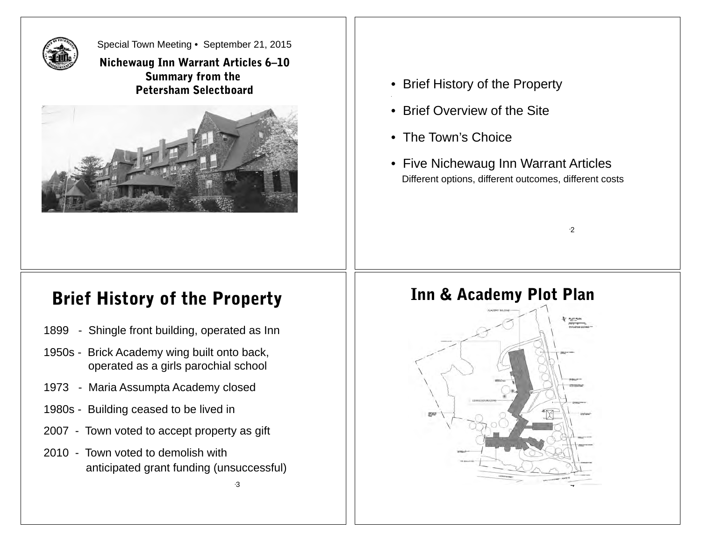

Special Town Meeting • September 21, 2015

## Nichewaug Inn Warrant Articles 6–10 Summary from the Petersham Selectboard



# Brief History of the Property

- 1899 Shingle front building, operated as Inn
- 1950s Brick Academy wing built onto back, operated as <sup>a</sup> girls parochial school
- 1973 Maria Assumpta Academy closed
- 1980s Building ceased to be lived in
- 2007 Town voted to accept property as gift
- 2010 Town voted to demolish with anticipated grant funding (unsuccessful)

•3

• Brief History of the Property

- Brief Overview of the Site
- The Town's Choice
- Five Nichewaug Inn Warrant Articles Different options, different outcomes, different costs

•2

# Inn & Academy Plot Plan

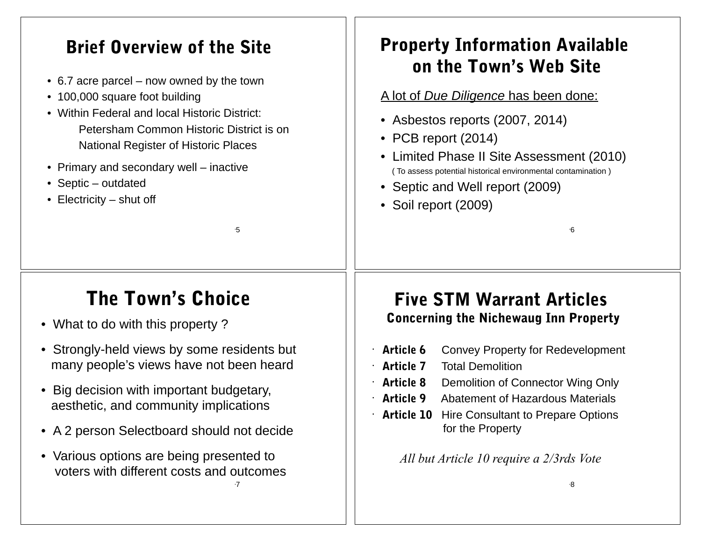### •5 Brief Overview of the Site • 6.7 acre parcel – now owned by the town • 100,000 square foot building • Within Federal and local Historic District: Petersham Common Historic District is on National Register of Historic Places • Primary and secondary well – inactive • Septic – outdated • Electricity – shut off •6 Property Information Available on the Town's Web Site A lot of *Due Diligence* has been done: • Asbestos reports (2007, 2014) • PCB report (2014) • Limited Phase II Site Assessment (2010) ( To assess potential historical environmental contamination ) • Septic and Well report (2009) • Soil report (2009) •7 The Town's Choice • What to do with this property ?  $\bullet\,$  Strongly-held views by some residents but many people's views have not been heard • Big decision with important budgetary, aesthetic, and community implications • A 2 person Selectboard should not decide • Various options are being presented to voters with different costs and outcomes •8 Five STM Warrant Articles Concerning the Nichewaug Inn Property Article 6 Convey Property for Redevelopment  $\cdot$  Article 7 **Total Demolition** • **Article 8** Demolition of Connector Wing Only  $\cdot$  Article 9 – Abatement of Hazardous Materials  $\cdot$  Article 10 Hire Consultant to Prepare Options for the Property *All but Article 10 require a 2/3rds Vote*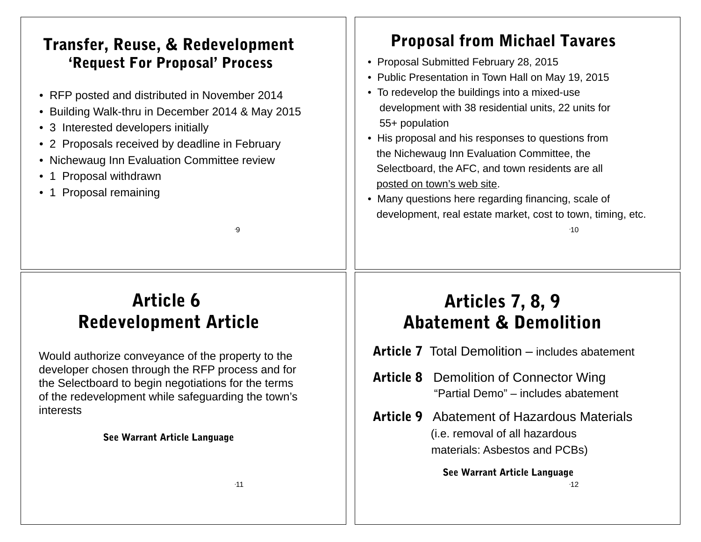# Transfer, Reuse, & Redevelopment 'Request For Proposal' Process

- RFP posted and distributed in November 2014
- Building Walk"thru in December 2014 & May 2015
- 3 Interested developers initially
- 2 Proposals received by deadline in February
- Nichewaug Inn Evaluation Committee review
- 1 Proposal withdrawn
- 1 Proposal remaining

# Article 6 Redevelopment Article

Would authorize conveyance of the property to the developer chosen through the RFP process and for the Selectboard to begin negotiations for the terms of the redevelopment while safeguarding the town's interests

## See Warrant Article Language

# Proposal from Michael Tavares

- Proposal Submitted February 28, 2015
- Public Presentation in Town Hall on May 19, 2015
- $\bullet~$  To redevelop the buildings into a mixed-use development with 38 residential units, 22 units for 55+ population
- His proposal and his responses to questions from the Nichewaug Inn Evaluation Committee, the Selectboard, the AFC, and town residents are all posted on town's web site.
- Many questions here regarding financing, scale of development, real estate market, cost to town, timing, etc.

 $-10$ 

# Articles 7, 8, 9 Abatement & Demolition

- Article 7 Total Demolition includes abatement
- Article 8 Demolition of Connector Wing "Partial Demo" – includes abatement
- Article 9 Abatement of Hazardous Materials (i.e. removal of all hazardous materials: Asbestos and PCBs)

 $-12$ See Warrant Article Language

•11

•9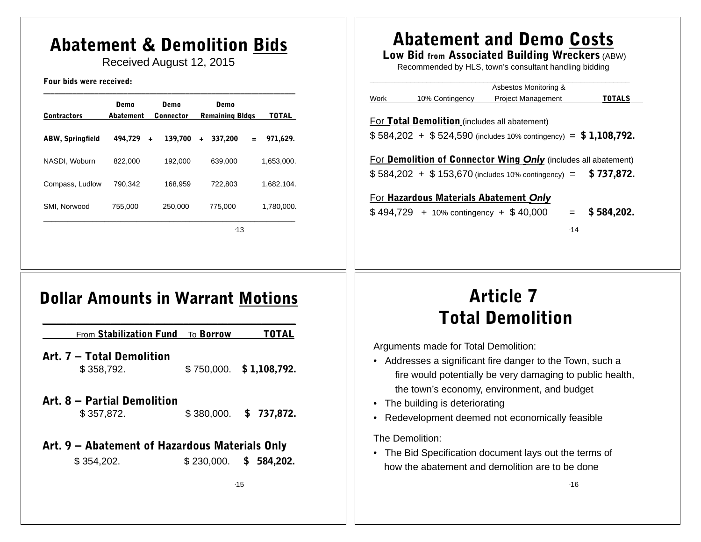# Abatement & Demolition Bids

Received August 12, 2015

Four bids were received:

| <b>Contractors</b>      | Demo<br>Abatement | Demo<br><b>Connector</b> | Demo<br><b>Remaining Bldgs</b> | TOTAL      |
|-------------------------|-------------------|--------------------------|--------------------------------|------------|
| <b>ABW, Springfield</b> | 494,729           | 139.700<br>$\ddot{}$     | 337,200<br>÷<br>$=$            | 971,629.   |
| NASDI, Woburn           | 822.000           | 192.000                  | 639.000                        | 1.653.000. |
| Compass, Ludlow         | 790.342           | 168,959                  | 722,803                        | 1,682,104. |
| SMI, Norwood            | 755.000           | 250,000                  | 775.000                        | 1,780,000. |
|                         |                   |                          | $\cdot 13$                     |            |

# Dollar Amounts in Warrant Motions

 $\overline{\phantom{a}}$  , and the contribution of the contribution of the contribution of the contribution of the contribution of the contribution of the contribution of the contribution of the contribution of the contribution of the

From Stabilization Fund To Borrow TOTAL

Art. 7 – Total Demolition  $$358,792.$   $$750,000.$   $$1,108,792.$ 

### Art. 8 – Partial Demolition

\$ 357,872. \$ 380,000. \$ 737,872.

## Art. 9 – Abatement of Hazardous Materials Only

\$ 354,202. \$ 230,000. \$ 584,202.

#### $-15$

# Abatement and Demo Costs

Low Bid from Associated Building Wreckers (ABW)

Recommended by HLS, town's consultant handling bidding

|                                                                |                                                      | Asbestos Monitoring &                                           |                |  |  |  |
|----------------------------------------------------------------|------------------------------------------------------|-----------------------------------------------------------------|----------------|--|--|--|
| Work                                                           | 10% Contingency                                      | Project Management                                              | <b>TOTALS</b>  |  |  |  |
|                                                                |                                                      |                                                                 |                |  |  |  |
|                                                                | <b>For Total Demolition</b> (includes all abatement) |                                                                 |                |  |  |  |
|                                                                |                                                      | $$584,202 + $524,590$ (includes 10% contingency) = \$1,108,792. |                |  |  |  |
|                                                                |                                                      |                                                                 |                |  |  |  |
| For Demolition of Connector Wing Only (includes all abatement) |                                                      |                                                                 |                |  |  |  |
|                                                                |                                                      | $$584,202 + $153,670$ (includes 10% contingency) = $$737,872$ . |                |  |  |  |
|                                                                |                                                      |                                                                 |                |  |  |  |
|                                                                | <b>For Hazardous Materials Abatement Only</b>        |                                                                 |                |  |  |  |
|                                                                | $$494,729$ + 10% contingency + \$40,000              |                                                                 | $=$ \$584,202. |  |  |  |
|                                                                |                                                      |                                                                 |                |  |  |  |
|                                                                |                                                      |                                                                 | $\cdot$ 14     |  |  |  |
|                                                                |                                                      |                                                                 |                |  |  |  |

# Article 7 Total Demolition

Arguments made for Total Demolition:

- Addresses <sup>a</sup> significant fire danger to the Town, such <sup>a</sup> fire would potentially be very damaging to public health, the town's economy, environment, and budget
- The building is deteriorating
- Redevelopment deemed not economically feasible

The Demolition:

• The Bid Specification document lays out the terms of how the abatement and demolition are to be done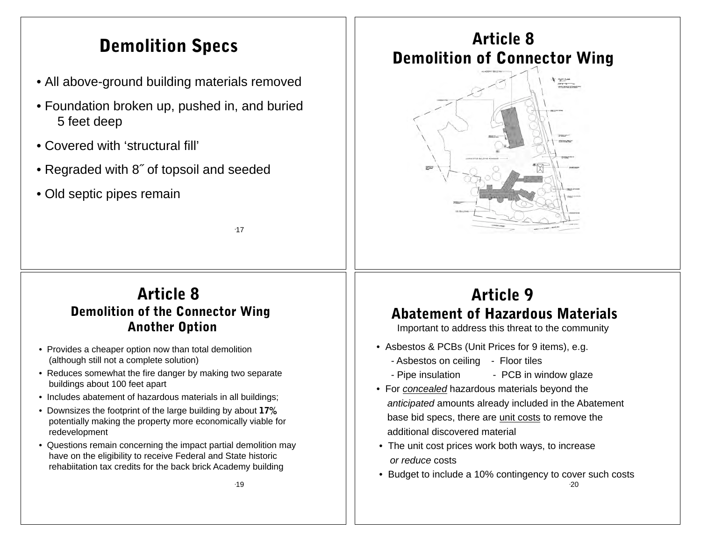# Demolition Specs

- $\bullet$  All above-ground building materials removed
- Foundation broken up, pushed in, and buried 5 feet deep
- Covered with 'structural fill'
- Regraded with 8˝ of topsoil and seeded
- Old septic pipes remain

 $-17$ 

# Article 8 Demolition of the Connector Wing Another Option

- Provides <sup>a</sup> cheaper option now than total demolition (although still not <sup>a</sup> complete solution)
- Reduces somewhat the fire danger by making two separate buildings about 100 feet apart
- $\bullet\,$  Includes abatement of hazardous materials in all buildings;
- Downsizes the footprint of the large building by about 17% potentially making the property more economically viable for redevelopment
- Questions remain concerning the impact partial demolition may have on the eligibility to receive Federal and State historic rehabiitation tax credits for the back brick Academy building

# Article 8 Demolition of Connector Wing



# Article 9 Abatement of Hazardous Materials

Important to address this threat to the community

- Asbestos & PCBs (Unit Prices for 9 items), e.g.
	- Asbestos on ceiling Floor tiles
	- Pipe insulation PCB in window glaze
- For *concealed* hazardous materials beyond the *anticipated* amounts already included in the Abatement base bid specs, there are unit costs to remove the additional discovered material
- The unit cost prices work both ways, to increase *or reduce* costs
- $-20$ • Budget to include <sup>a</sup> 10% contingency to cover such costs